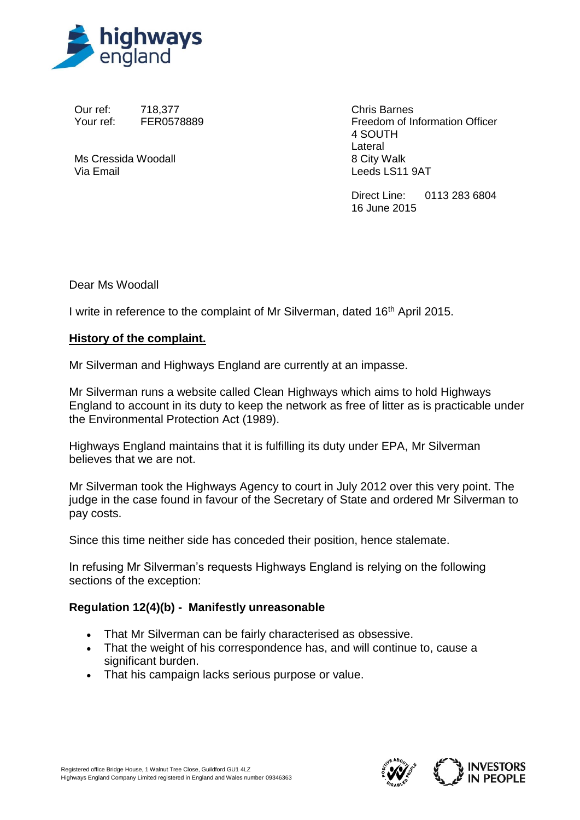

Our ref: 718,377 Your ref: FER0578889

Ms Cressida Woodall Via Email

Chris Barnes Freedom of Information Officer 4 SOUTH Lateral 8 City Walk Leeds LS11 9AT

Direct Line: 0113 283 6804 16 June 2015

Dear Ms Woodall

I write in reference to the complaint of Mr Silverman, dated 16<sup>th</sup> April 2015.

#### **History of the complaint.**

Mr Silverman and Highways England are currently at an impasse.

Mr Silverman runs a website called Clean Highways which aims to hold Highways England to account in its duty to keep the network as free of litter as is practicable under the Environmental Protection Act (1989).

Highways England maintains that it is fulfilling its duty under EPA, Mr Silverman believes that we are not.

Mr Silverman took the Highways Agency to court in July 2012 over this very point. The judge in the case found in favour of the Secretary of State and ordered Mr Silverman to pay costs.

Since this time neither side has conceded their position, hence stalemate.

In refusing Mr Silverman's requests Highways England is relying on the following sections of the exception:

#### **Regulation 12(4)(b) - Manifestly unreasonable**

- That Mr Silverman can be fairly characterised as obsessive.
- That the weight of his correspondence has, and will continue to, cause a significant burden.
- That his campaign lacks serious purpose or value.

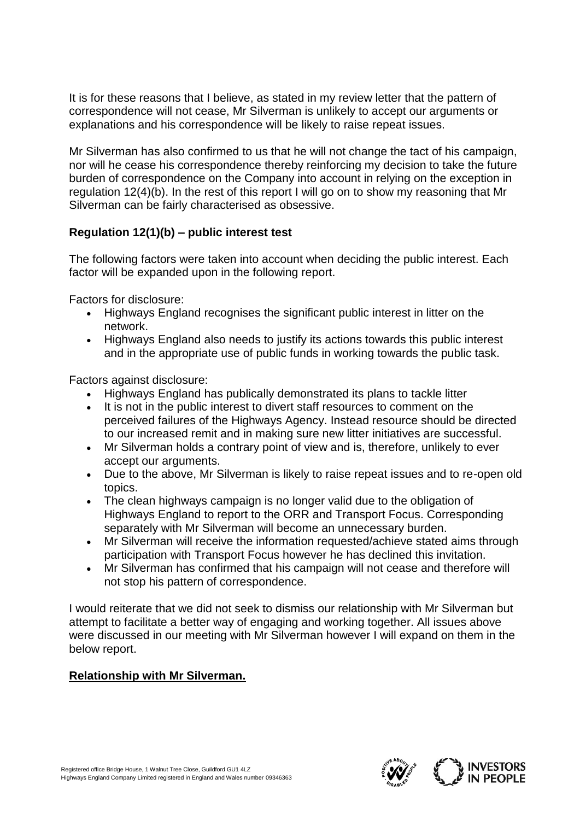It is for these reasons that I believe, as stated in my review letter that the pattern of correspondence will not cease, Mr Silverman is unlikely to accept our arguments or explanations and his correspondence will be likely to raise repeat issues.

Mr Silverman has also confirmed to us that he will not change the tact of his campaign, nor will he cease his correspondence thereby reinforcing my decision to take the future burden of correspondence on the Company into account in relying on the exception in regulation 12(4)(b). In the rest of this report I will go on to show my reasoning that Mr Silverman can be fairly characterised as obsessive.

# **Regulation 12(1)(b) – public interest test**

The following factors were taken into account when deciding the public interest. Each factor will be expanded upon in the following report.

Factors for disclosure:

- Highways England recognises the significant public interest in litter on the network.
- Highways England also needs to justify its actions towards this public interest and in the appropriate use of public funds in working towards the public task.

Factors against disclosure:

- Highways England has publically demonstrated its plans to tackle litter
- It is not in the public interest to divert staff resources to comment on the perceived failures of the Highways Agency. Instead resource should be directed to our increased remit and in making sure new litter initiatives are successful.
- Mr Silverman holds a contrary point of view and is, therefore, unlikely to ever accept our arguments.
- Due to the above, Mr Silverman is likely to raise repeat issues and to re-open old topics.
- The clean highways campaign is no longer valid due to the obligation of Highways England to report to the ORR and Transport Focus. Corresponding separately with Mr Silverman will become an unnecessary burden.
- Mr Silverman will receive the information requested/achieve stated aims through participation with Transport Focus however he has declined this invitation.
- Mr Silverman has confirmed that his campaign will not cease and therefore will not stop his pattern of correspondence.

I would reiterate that we did not seek to dismiss our relationship with Mr Silverman but attempt to facilitate a better way of engaging and working together. All issues above were discussed in our meeting with Mr Silverman however I will expand on them in the below report.

## **Relationship with Mr Silverman.**

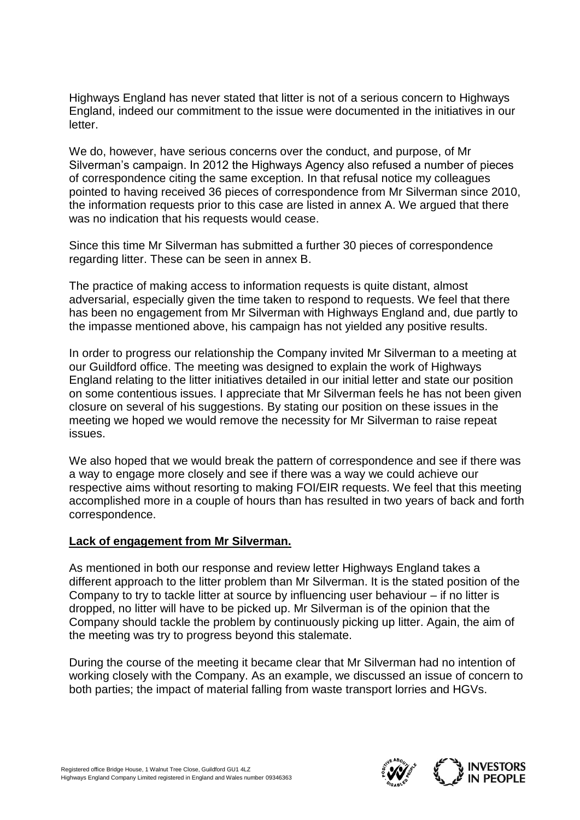Highways England has never stated that litter is not of a serious concern to Highways England, indeed our commitment to the issue were documented in the initiatives in our letter.

We do, however, have serious concerns over the conduct, and purpose, of Mr Silverman's campaign. In 2012 the Highways Agency also refused a number of pieces of correspondence citing the same exception. In that refusal notice my colleagues pointed to having received 36 pieces of correspondence from Mr Silverman since 2010, the information requests prior to this case are listed in annex A. We argued that there was no indication that his requests would cease.

Since this time Mr Silverman has submitted a further 30 pieces of correspondence regarding litter. These can be seen in annex B.

The practice of making access to information requests is quite distant, almost adversarial, especially given the time taken to respond to requests. We feel that there has been no engagement from Mr Silverman with Highways England and, due partly to the impasse mentioned above, his campaign has not yielded any positive results.

In order to progress our relationship the Company invited Mr Silverman to a meeting at our Guildford office. The meeting was designed to explain the work of Highways England relating to the litter initiatives detailed in our initial letter and state our position on some contentious issues. I appreciate that Mr Silverman feels he has not been given closure on several of his suggestions. By stating our position on these issues in the meeting we hoped we would remove the necessity for Mr Silverman to raise repeat issues.

We also hoped that we would break the pattern of correspondence and see if there was a way to engage more closely and see if there was a way we could achieve our respective aims without resorting to making FOI/EIR requests. We feel that this meeting accomplished more in a couple of hours than has resulted in two years of back and forth correspondence.

#### **Lack of engagement from Mr Silverman.**

As mentioned in both our response and review letter Highways England takes a different approach to the litter problem than Mr Silverman. It is the stated position of the Company to try to tackle litter at source by influencing user behaviour – if no litter is dropped, no litter will have to be picked up. Mr Silverman is of the opinion that the Company should tackle the problem by continuously picking up litter. Again, the aim of the meeting was try to progress beyond this stalemate.

During the course of the meeting it became clear that Mr Silverman had no intention of working closely with the Company. As an example, we discussed an issue of concern to both parties; the impact of material falling from waste transport lorries and HGVs.

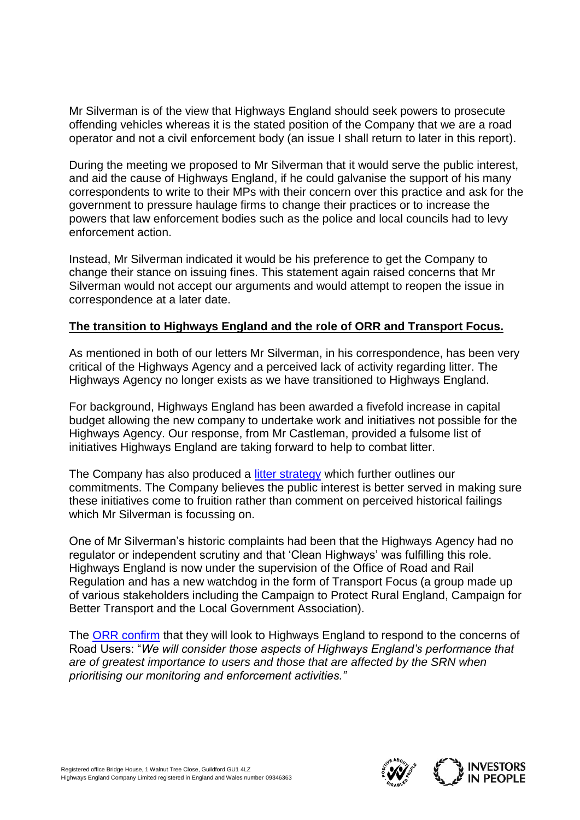Mr Silverman is of the view that Highways England should seek powers to prosecute offending vehicles whereas it is the stated position of the Company that we are a road operator and not a civil enforcement body (an issue I shall return to later in this report).

During the meeting we proposed to Mr Silverman that it would serve the public interest, and aid the cause of Highways England, if he could galvanise the support of his many correspondents to write to their MPs with their concern over this practice and ask for the government to pressure haulage firms to change their practices or to increase the powers that law enforcement bodies such as the police and local councils had to levy enforcement action.

Instead, Mr Silverman indicated it would be his preference to get the Company to change their stance on issuing fines. This statement again raised concerns that Mr Silverman would not accept our arguments and would attempt to reopen the issue in correspondence at a later date.

#### **The transition to Highways England and the role of ORR and Transport Focus.**

As mentioned in both of our letters Mr Silverman, in his correspondence, has been very critical of the Highways Agency and a perceived lack of activity regarding litter. The Highways Agency no longer exists as we have transitioned to Highways England.

For background, Highways England has been awarded a fivefold increase in capital budget allowing the new company to undertake work and initiatives not possible for the Highways Agency. Our response, from Mr Castleman, provided a fulsome list of initiatives Highways England are taking forward to help to combat litter.

The Company has also produced a [litter strategy](https://www.gov.uk/government/publications/highways-agency-litter-strategy) which further outlines our commitments. The Company believes the public interest is better served in making sure these initiatives come to fruition rather than comment on perceived historical failings which Mr Silverman is focussing on.

One of Mr Silverman's historic complaints had been that the Highways Agency had no regulator or independent scrutiny and that 'Clean Highways' was fulfilling this role. Highways England is now under the supervision of the Office of Road and Rail Regulation and has a new watchdog in the form of Transport Focus (a group made up of various stakeholders including the Campaign to Protect Rural England, Campaign for Better Transport and the Local Government Association).

The [ORR confirm](http://orr.gov.uk/__data/assets/pdf_file/0015/17610/monitoring-highways-england-first-consultation.pdf) that they will look to Highways England to respond to the concerns of Road Users: "*We will consider those aspects of Highways England's performance that are of greatest importance to users and those that are affected by the SRN when prioritising our monitoring and enforcement activities."*

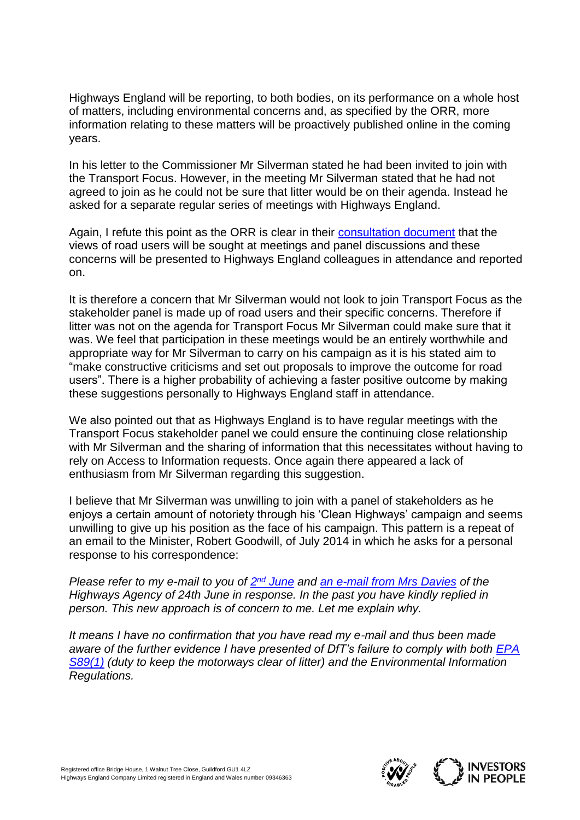Highways England will be reporting, to both bodies, on its performance on a whole host of matters, including environmental concerns and, as specified by the ORR, more information relating to these matters will be proactively published online in the coming years.

In his letter to the Commissioner Mr Silverman stated he had been invited to join with the Transport Focus. However, in the meeting Mr Silverman stated that he had not agreed to join as he could not be sure that litter would be on their agenda. Instead he asked for a separate regular series of meetings with Highways England.

Again, I refute this point as the ORR is clear in their [consultation document](http://orr.gov.uk/__data/assets/pdf_file/0015/17610/monitoring-highways-england-first-consultation.pdf) that the views of road users will be sought at meetings and panel discussions and these concerns will be presented to Highways England colleagues in attendance and reported on.

It is therefore a concern that Mr Silverman would not look to join Transport Focus as the stakeholder panel is made up of road users and their specific concerns. Therefore if litter was not on the agenda for Transport Focus Mr Silverman could make sure that it was. We feel that participation in these meetings would be an entirely worthwhile and appropriate way for Mr Silverman to carry on his campaign as it is his stated aim to "make constructive criticisms and set out proposals to improve the outcome for road users". There is a higher probability of achieving a faster positive outcome by making these suggestions personally to Highways England staff in attendance.

We also pointed out that as Highways England is to have regular meetings with the Transport Focus stakeholder panel we could ensure the continuing close relationship with Mr Silverman and the sharing of information that this necessitates without having to rely on Access to Information requests. Once again there appeared a lack of enthusiasm from Mr Silverman regarding this suggestion.

I believe that Mr Silverman was unwilling to join with a panel of stakeholders as he enjoys a certain amount of notoriety through his 'Clean Highways' campaign and seems unwilling to give up his position as the face of his campaign. This pattern is a repeat of an email to the Minister, Robert Goodwill, of July 2014 in which he asks for a personal response to his correspondence:

*Please refer to my e-mail to you of*  $2^{nd}$  *[June](http://www.cleanhighways.co.uk/wp-content/uploads/2014/06/PS-to-R-Goodwill-02-06-14.pdf) and [an e-mail from Mrs Davies](http://www.cleanhighways.co.uk/wp-content/uploads/2014/05/HA-response-to-mine-to-RG-24_06_2014.pdf) of the Highways Agency of 24th June in response. In the past you have kindly replied in person. This new approach is of concern to me. Let me explain why.*

*It means I have no confirmation that you have read my e-mail and thus been made aware of the further evidence I have presented of DfT's failure to comply with both [EPA](http://www.cleanhighways.co.uk/legislation/environmental-protection-act-section-891-duty-to-keep-land-clear-of-litter)  [S89\(1\)](http://www.cleanhighways.co.uk/legislation/environmental-protection-act-section-891-duty-to-keep-land-clear-of-litter) (duty to keep the motorways clear of litter) and the Environmental Information Regulations.*

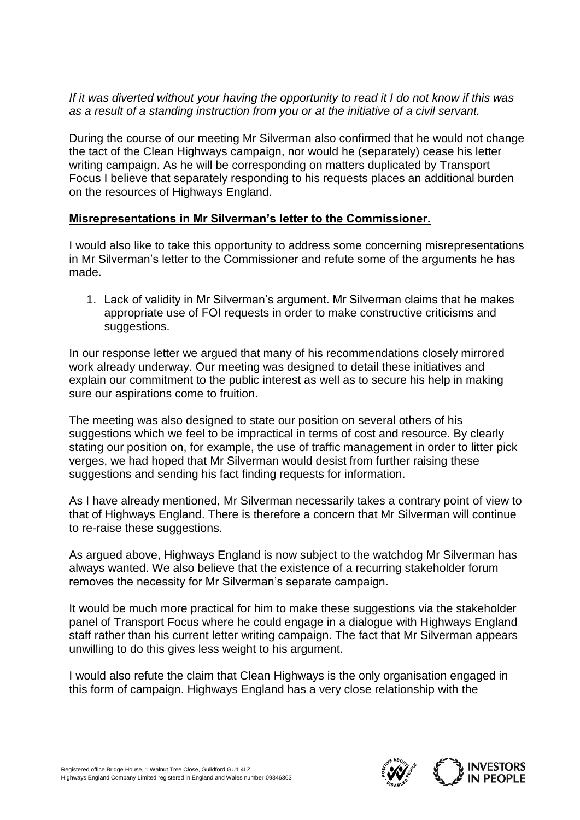### *If it was diverted without your having the opportunity to read it I do not know if this was as a result of a standing instruction from you or at the initiative of a civil servant.*

During the course of our meeting Mr Silverman also confirmed that he would not change the tact of the Clean Highways campaign, nor would he (separately) cease his letter writing campaign. As he will be corresponding on matters duplicated by Transport Focus I believe that separately responding to his requests places an additional burden on the resources of Highways England.

## **Misrepresentations in Mr Silverman's letter to the Commissioner.**

I would also like to take this opportunity to address some concerning misrepresentations in Mr Silverman's letter to the Commissioner and refute some of the arguments he has made.

1. Lack of validity in Mr Silverman's argument. Mr Silverman claims that he makes appropriate use of FOI requests in order to make constructive criticisms and suggestions.

In our response letter we argued that many of his recommendations closely mirrored work already underway. Our meeting was designed to detail these initiatives and explain our commitment to the public interest as well as to secure his help in making sure our aspirations come to fruition.

The meeting was also designed to state our position on several others of his suggestions which we feel to be impractical in terms of cost and resource. By clearly stating our position on, for example, the use of traffic management in order to litter pick verges, we had hoped that Mr Silverman would desist from further raising these suggestions and sending his fact finding requests for information.

As I have already mentioned, Mr Silverman necessarily takes a contrary point of view to that of Highways England. There is therefore a concern that Mr Silverman will continue to re-raise these suggestions.

As argued above, Highways England is now subject to the watchdog Mr Silverman has always wanted. We also believe that the existence of a recurring stakeholder forum removes the necessity for Mr Silverman's separate campaign.

It would be much more practical for him to make these suggestions via the stakeholder panel of Transport Focus where he could engage in a dialogue with Highways England staff rather than his current letter writing campaign. The fact that Mr Silverman appears unwilling to do this gives less weight to his argument.

I would also refute the claim that Clean Highways is the only organisation engaged in this form of campaign. Highways England has a very close relationship with the

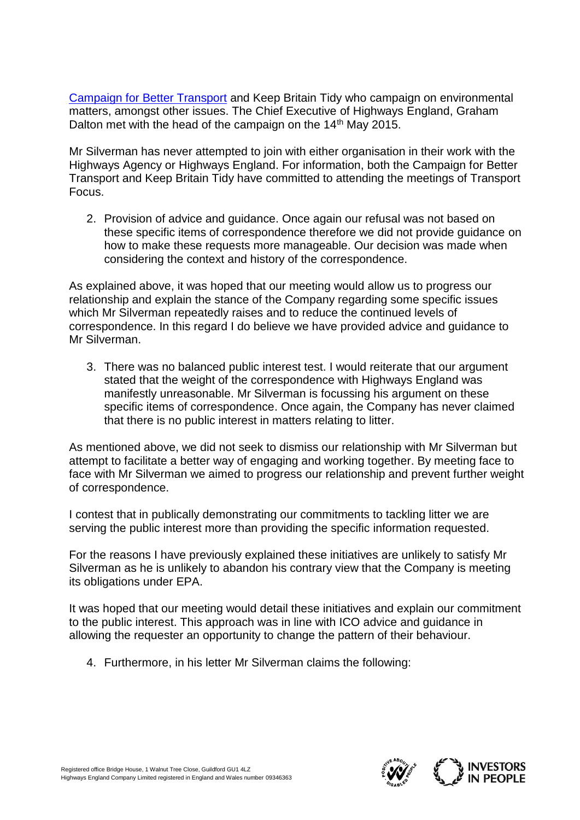[Campaign for Better Transport](http://www.bettertransport.org.uk/) and Keep Britain Tidy who campaign on environmental matters, amongst other issues. The Chief Executive of Highways England, Graham Dalton met with the head of the campaign on the 14<sup>th</sup> May 2015.

Mr Silverman has never attempted to join with either organisation in their work with the Highways Agency or Highways England. For information, both the Campaign for Better Transport and Keep Britain Tidy have committed to attending the meetings of Transport Focus.

2. Provision of advice and guidance. Once again our refusal was not based on these specific items of correspondence therefore we did not provide guidance on how to make these requests more manageable. Our decision was made when considering the context and history of the correspondence.

As explained above, it was hoped that our meeting would allow us to progress our relationship and explain the stance of the Company regarding some specific issues which Mr Silverman repeatedly raises and to reduce the continued levels of correspondence. In this regard I do believe we have provided advice and guidance to Mr Silverman.

3. There was no balanced public interest test. I would reiterate that our argument stated that the weight of the correspondence with Highways England was manifestly unreasonable. Mr Silverman is focussing his argument on these specific items of correspondence. Once again, the Company has never claimed that there is no public interest in matters relating to litter.

As mentioned above, we did not seek to dismiss our relationship with Mr Silverman but attempt to facilitate a better way of engaging and working together. By meeting face to face with Mr Silverman we aimed to progress our relationship and prevent further weight of correspondence.

I contest that in publically demonstrating our commitments to tackling litter we are serving the public interest more than providing the specific information requested.

For the reasons I have previously explained these initiatives are unlikely to satisfy Mr Silverman as he is unlikely to abandon his contrary view that the Company is meeting its obligations under EPA.

It was hoped that our meeting would detail these initiatives and explain our commitment to the public interest. This approach was in line with ICO advice and guidance in allowing the requester an opportunity to change the pattern of their behaviour.

4. Furthermore, in his letter Mr Silverman claims the following:

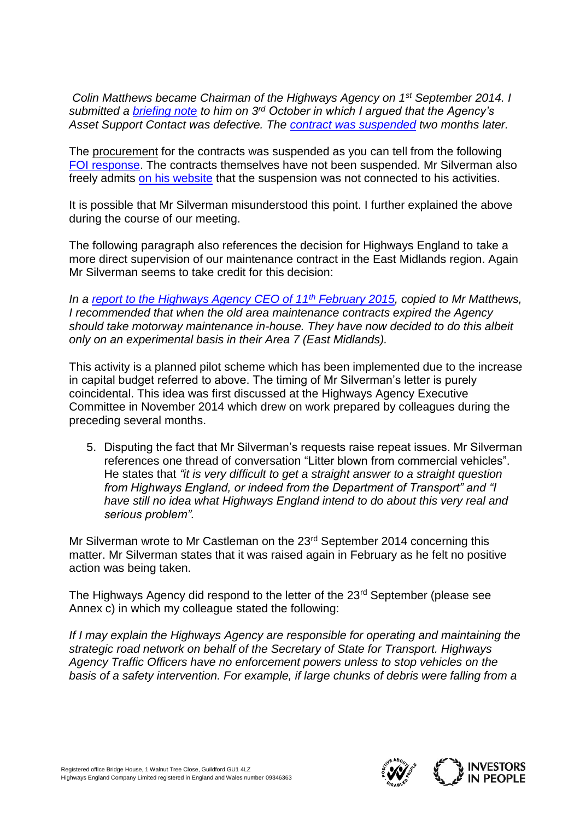*Colin Matthews became Chairman of the Highways Agency on 1st September 2014. I submitted a [briefing note](http://www.cleanhighways.co.uk/wp-content/uploads/2014/10/Briefing-note-for-Colin-Matthews.pdf) to him on 3rd October in which I argued that the Agency's Asset Support Contact was defective. The [contract was suspended](http://www.cleanhighways.co.uk/highways-agency/highways-england-re-think-asset-support-contract) two months later.*

The procurement for the contracts was suspended as you can tell from the following [FOI response.](https://www.whatdotheyknow.com/request/area_4_asset_support_contract_se#incoming-637618) The contracts themselves have not been suspended. Mr Silverman also freely admits [on his website](http://www.cleanhighways.co.uk/newsletter/newsletter-february-2015) that the suspension was not connected to his activities.

It is possible that Mr Silverman misunderstood this point. I further explained the above during the course of our meeting.

The following paragraph also references the decision for Highways England to take a more direct supervision of our maintenance contract in the East Midlands region. Again Mr Silverman seems to take credit for this decision:

*In a [report to the Highways Agency CEO of 11](http://www.cleanhighways.co.uk/wp-content/uploads/2014/06/Litter-Compliance-Report-for-HA-CEO-Feb-2015.pdf)th February 2015, copied to Mr Matthews, I recommended that when the old area maintenance contracts expired the Agency should take motorway maintenance in-house. They have now decided to do this albeit only on an experimental basis in their Area 7 (East Midlands).*

This activity is a planned pilot scheme which has been implemented due to the increase in capital budget referred to above. The timing of Mr Silverman's letter is purely coincidental. This idea was first discussed at the Highways Agency Executive Committee in November 2014 which drew on work prepared by colleagues during the preceding several months.

5. Disputing the fact that Mr Silverman's requests raise repeat issues. Mr Silverman references one thread of conversation "Litter blown from commercial vehicles". He states that *"it is very difficult to get a straight answer to a straight question from Highways England, or indeed from the Department of Transport" and "I have still no idea what Highways England intend to do about this very real and serious problem".*

Mr Silverman wrote to Mr Castleman on the 23rd September 2014 concerning this matter. Mr Silverman states that it was raised again in February as he felt no positive action was being taken.

The Highways Agency did respond to the letter of the 23<sup>rd</sup> September (please see Annex c) in which my colleague stated the following:

*If I may explain the Highways Agency are responsible for operating and maintaining the strategic road network on behalf of the Secretary of State for Transport. Highways Agency Traffic Officers have no enforcement powers unless to stop vehicles on the basis of a safety intervention. For example, if large chunks of debris were falling from a*